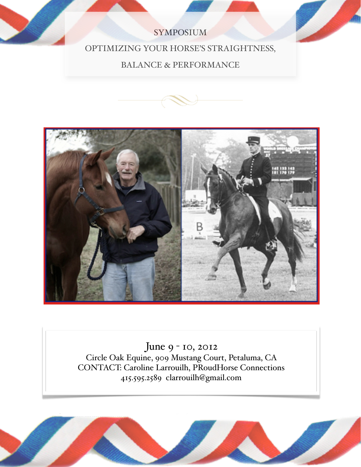## SYMPOSIUM

## OPTIMIZING YOUR HORSE'S STRAIGHTNESS,

## BALANCE & PERFORMANCE





June 9 - 10, 2012 Circle Oak Equine, 909 Mustang Court, Petaluma, CA CONTACT: Caroline Larrouilh, PRoudHorse Connections 415.595.2589 clarrouilh@gmail.com

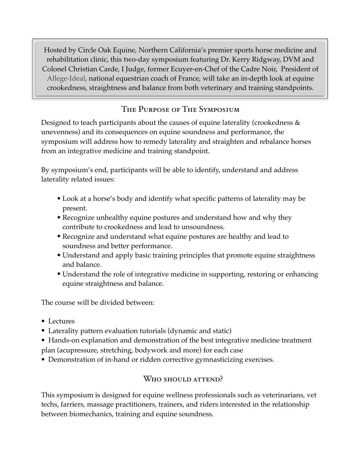Hosted by Circle Oak Equine, Northern California's premier sports horse medicine and rehabilitation clinic, this two-day symposium featuring Dr. Kerry Ridgway, DVM and Colonel Christian Carde, I Judge, former Ecuyer-en-Chef of the Cadre Noir, President of Allege-Ideal, national equestrian coach of France, will take an in-depth look at equine crookedness, straightness and balance from both veterinary and training standpoints.

## The Purpose of The Symposium

Designed to teach participants about the causes of equine laterality (crookedness & unevenness) and its consequences on equine soundness and performance, the symposium will address how to remedy laterality and straighten and rebalance horses from an integrative medicine and training standpoint.

By symposium's end, participants will be able to identify, understand and address laterality related issues:

- Look at a horse's body and identify what specific patterns of laterality may be present.
- Recognize unhealthy equine postures and understand how and why they contribute to crookedness and lead to unsoundness.
- Recognize and understand what equine postures are healthy and lead to soundness and better performance.
- Understand and apply basic training principles that promote equine straightness and balance.
- Understand the role of integrative medicine in supporting, restoring or enhancing equine straightness and balance.

The course will be divided between:

- Lectures
- Laterality pattern evaluation tutorials (dynamic and static)
- Hands-on explanation and demonstration of the best integrative medicine treatment plan (acupressure, stretching, bodywork and more) for each case
- Demonstration of in-hand or ridden corrective gymnasticizing exercises.

## Who should attend?

This symposium is designed for equine wellness professionals such as veterinarians, vet techs, farriers, massage practitioners, trainers, and riders interested in the relationship between biomechanics, training and equine soundness.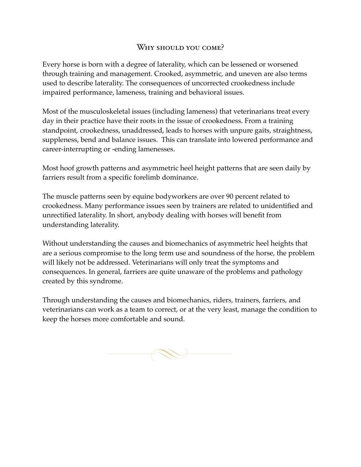#### WHY SHOULD YOU COME?

Every horse is born with a degree of laterality, which can be lessened or worsened through training and management. Crooked, asymmetric, and uneven are also terms used to describe laterality. The consequences of uncorrected crookedness include impaired performance, lameness, training and behavioral issues.

Most of the musculoskeletal issues (including lameness) that veterinarians treat every day in their practice have their roots in the issue of crookedness. From a training standpoint, crookedness, unaddressed, leads to horses with unpure gaits, straightness, suppleness, bend and balance issues. This can translate into lowered performance and career-interrupting or -ending lamenesses.

Most hoof growth patterns and asymmetric heel height patterns that are seen daily by farriers result from a specific forelimb dominance.

The muscle patterns seen by equine bodyworkers are over 90 percent related to crookedness. Many performance issues seen by trainers are related to unidentified and unrectified laterality. In short, anybody dealing with horses will benefit from understanding laterality.

Without understanding the causes and biomechanics of asymmetric heel heights that are a serious compromise to the long term use and soundness of the horse, the problem will likely not be addressed. Veterinarians will only treat the symptoms and consequences. In general, farriers are quite unaware of the problems and pathology created by this syndrome.

Through understanding the causes and biomechanics, riders, trainers, farriers, and veterinarians can work as a team to correct, or at the very least, manage the condition to keep the horses more comfortable and sound.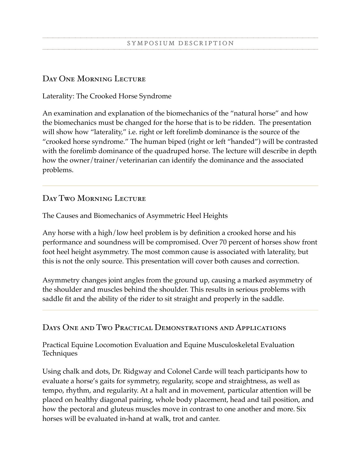#### Day One Morning Lecture

#### Laterality: The Crooked Horse Syndrome

An examination and explanation of the biomechanics of the "natural horse" and how the biomechanics must be changed for the horse that is to be ridden. The presentation will show how "laterality," i.e. right or left forelimb dominance is the source of the "crooked horse syndrome." The human biped (right or left "handed") will be contrasted with the forelimb dominance of the quadruped horse. The lecture will describe in depth how the owner/trainer/veterinarian can identify the dominance and the associated problems.

### DAY TWO MORNING LECTURE

The Causes and Biomechanics of Asymmetric Heel Heights

Any horse with a high/low heel problem is by definition a crooked horse and his performance and soundness will be compromised. Over 70 percent of horses show front foot heel height asymmetry. The most common cause is associated with laterality, but this is not the only source. This presentation will cover both causes and correction.

Asymmetry changes joint angles from the ground up, causing a marked asymmetry of the shoulder and muscles behind the shoulder. This results in serious problems with saddle fit and the ability of the rider to sit straight and properly in the saddle.

#### Days One and Two Practical Demonstrations and Applications

Practical Equine Locomotion Evaluation and Equine Musculoskeletal Evaluation Techniques

Using chalk and dots, Dr. Ridgway and Colonel Carde will teach participants how to evaluate a horse's gaits for symmetry, regularity, scope and straightness, as well as tempo, rhythm, and regularity. At a halt and in movement, particular attention will be placed on healthy diagonal pairing, whole body placement, head and tail position, and how the pectoral and gluteus muscles move in contrast to one another and more. Six horses will be evaluated in-hand at walk, trot and canter.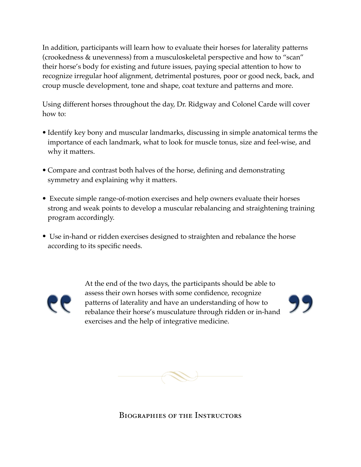In addition, participants will learn how to evaluate their horses for laterality patterns (crookedness & unevenness) from a musculoskeletal perspective and how to "scan" their horse's body for existing and future issues, paying special attention to how to recognize irregular hoof alignment, detrimental postures, poor or good neck, back, and croup muscle development, tone and shape, coat texture and patterns and more.

Using different horses throughout the day, Dr. Ridgway and Colonel Carde will cover how to:

- Identify key bony and muscular landmarks, discussing in simple anatomical terms the importance of each landmark, what to look for muscle tonus, size and feel-wise, and why it matters.
- Compare and contrast both halves of the horse, defining and demonstrating symmetry and explaining why it matters.
- Execute simple range-of-motion exercises and help owners evaluate their horses strong and weak points to develop a muscular rebalancing and straightening training program accordingly.
- Use in-hand or ridden exercises designed to straighten and rebalance the horse according to its specific needs.



At the end of the two days, the participants should be able to assess their own horses with some confidence, recognize patterns of laterality and have an understanding of how to rebalance their horse's musculature through ridden or in-hand exercises and the help of integrative medicine.



Biographies of the Instructors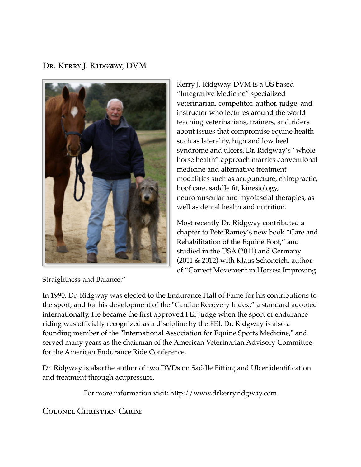Dr. Kerry J. Ridgway, DVM



Kerry J. Ridgway, DVM is a US based "Integrative Medicine" specialized veterinarian, competitor, author, judge, and instructor who lectures around the world teaching veterinarians, trainers, and riders about issues that compromise equine health such as laterality, high and low heel syndrome and ulcers. Dr. Ridgway's "whole horse health" approach marries conventional medicine and alternative treatment modalities such as acupuncture, chiropractic, hoof care, saddle fit, kinesiology, neuromuscular and myofascial therapies, as well as dental health and nutrition.

Most recently Dr. Ridgway contributed a chapter to Pete Ramey's new book "Care and Rehabilitation of the Equine Foot," and studied in the USA (2011) and Germany (2011 & 2012) with Klaus Schoneich, author of "Correct Movement in Horses: Improving

In 1990, Dr. Ridgway was elected to the Endurance Hall of Fame for his contributions to the sport, and for his development of the "Cardiac Recovery Index," a standard adopted internationally. He became the first approved FEI Judge when the sport of endurance riding was officially recognized as a discipline by the FEI. Dr. Ridgway is also a founding member of the "International Association for Equine Sports Medicine," and served many years as the chairman of the American Veterinarian Advisory Committee for the American Endurance Ride Conference.

Dr. Ridgway is also the author of two DVDs on Saddle Fitting and Ulcer identification and treatment through acupressure.

For more information visit: http://www.drkerryridgway.com

Colonel Christian Carde

Straightness and Balance."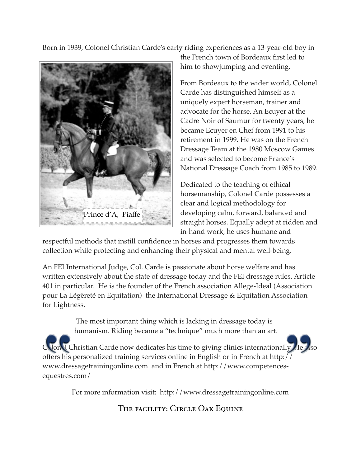Born in 1939, Colonel Christian Carde's early riding experiences as a 13-year-old boy in



the French town of Bordeaux first led to him to showjumping and eventing.

From Bordeaux to the wider world, Colonel Carde has distinguished himself as a uniquely expert horseman, trainer and advocate for the horse. An Ecuyer at the Cadre Noir of Saumur for twenty years, he became Ecuyer en Chef from 1991 to his retirement in 1999. He was on the French Dressage Team at the 1980 Moscow Games and was selected to become France's National Dressage Coach from 1985 to 1989.

Dedicated to the teaching of ethical horsemanship, Colonel Carde possesses a clear and logical methodology for developing calm, forward, balanced and straight horses. Equally adept at ridden and in-hand work, he uses humane and

respectful methods that instill confidence in horses and progresses them towards collection while protecting and enhancing their physical and mental well-being.

An FEI International Judge, Col. Carde is passionate about horse welfare and has written extensively about the state of dressage today and the FEI dressage rules. Article 401 in particular. He is the founder of the French association Allege-Ideal (Association pour La Légèreté en Equitation) the International Dressage & Equitation Association for Lightness.

> The most important thing which is lacking in dressage today is humanism. Riding became a "technique" much more than an art.

Colonel Christian Carde now dedicates his time to giving clinics internationally. He also offers his personalized training services online in English or in French at http:// www.dressagetrainingonline.com and in French at http://www.competencesequestres.com/

For more information visit: http://www.dressagetrainingonline.com

THE FACILITY: CIRCLE OAK EQUINE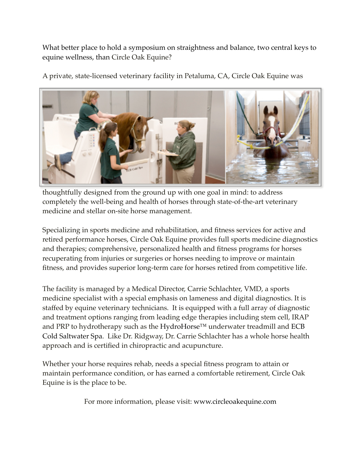What better place to hold a symposium on straightness and balance, two central keys to equine wellness, than Circle Oak Equine?

A private, state-licensed veterinary facility in Petaluma, CA, Circle Oak Equine was



thoughtfully designed from the ground up with one goal in mind: to address completely the well-being and health of horses through state-of-the-art veterinary medicine and stellar on-site horse management.

Specializing in sports medicine and rehabilitation, and fitness services for active and retired performance horses, Circle Oak Equine provides full sports medicine diagnostics and therapies; comprehensive, personalized health and fitness programs for horses recuperating from injuries or surgeries or horses needing to improve or maintain fitness, and provides superior long-term care for horses retired from competitive life.

The facility is managed by a Medical Director, Carrie Schlachter, VMD, a sports medicine specialist with a special emphasis on lameness and digital diagnostics. It is staffed by equine veterinary technicians. It is equipped with a full array of diagnostic and treatment options ranging from leading edge therapies including stem cell, IRAP and PRP to hydrotherapy such as the HydroHorse™ underwater treadmill and ECB Cold Saltwater Spa. Like Dr. Ridgway, Dr. Carrie Schlachter has a whole horse health approach and is certified in chiropractic and acupuncture.

Whether your horse requires rehab, needs a special fitness program to attain or maintain performance condition, or has earned a comfortable retirement, Circle Oak Equine is is the place to be.

For more information, please visit: www.circleoakequine.com